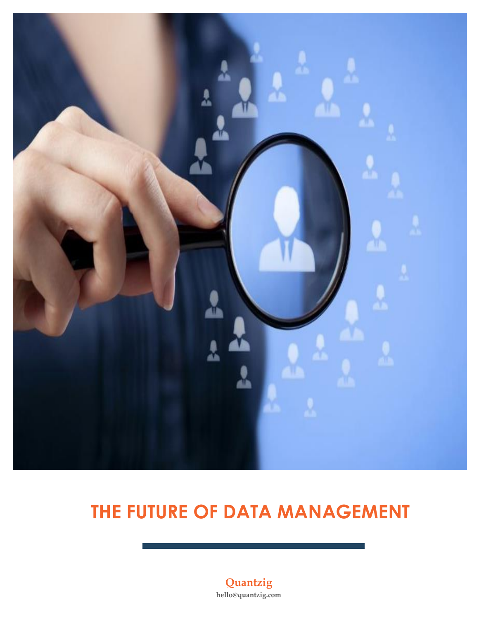

# **THE FUTURE OF DATA MANAGEMENT**

**Quantzig hello@quantzig.com**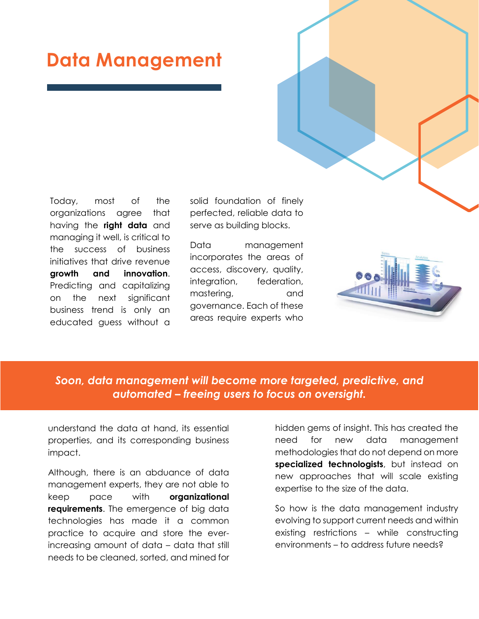## **Data Management**

Today, most of the organizations agree that having the **right data** and managing it well, is critical to the success of business initiatives that drive revenue **growth and innovation**. Predicting and capitalizing on the next significant business trend is only an educated guess without a solid foundation of finely perfected, reliable data to serve as building blocks.

Data management incorporates the areas of access, discovery, quality, integration, federation, mastering, and governance. Each of these areas require experts who



## *Soon, data management will become more targeted, predictive, and automated – freeing users to focus on oversight.*

understand the data at hand, its essential properties, and its corresponding business impact.

Although, there is an abduance of data management experts, they are not able to keep pace with **organizational requirements**. The emergence of big data technologies has made it a common practice to acquire and store the everincreasing amount of data – data that still needs to be cleaned, sorted, and mined for hidden gems of insight. This has created the need for new data management methodologies that do not depend on more **specialized technologists**, but instead on new approaches that will scale existing expertise to the size of the data.

So how is the data management industry evolving to support current needs and within existing restrictions – while constructing environments – to address future needs?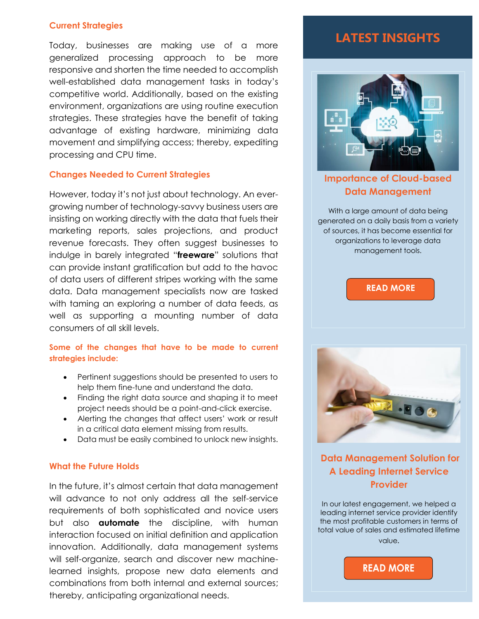### **Current Strategies**

Today, businesses are making use of a more generalized processing approach to be more responsive and shorten the time needed to accomplish well-established data management tasks in today's competitive world. Additionally, based on the existing environment, organizations are using routine execution strategies. These strategies have the benefit of taking advantage of existing hardware, minimizing data movement and simplifying access; thereby, expediting processing and CPU time.

### **Changes Needed to Current Strategies**

However, today it's not just about technology. An evergrowing number of technology-savvy business users are insisting on working directly with the data that fuels their marketing reports, sales projections, and product revenue forecasts. They often suggest businesses to indulge in barely integrated "**freeware**" solutions that can provide instant gratification but add to the havoc of data users of different stripes working with the same data. Data management specialists now are tasked with taming an exploring a number of data feeds, as well as supporting a mounting number of data consumers of all skill levels.

### **Some of the changes that have to be made to current strategies include:**

- Pertinent suggestions should be presented to users to help them fine-tune and understand the data.
- Finding the right data source and shaping it to meet project needs should be a point-and-click exercise.
- Alerting the changes that affect users' work or result in a critical data element missing from results.
- Data must be easily combined to unlock new insights.

### **What the Future Holds**

In the future, it's almost certain that data management will advance to not only address all the self-service requirements of both sophisticated and novice users but also **automate** the discipline, with human interaction focused on initial definition and application innovation. Additionally, data management systems will self-organize, search and discover new machinelearned insights, propose new data elements and combinations from both internal and external sources; thereby, anticipating organizational needs.

## **LATEST INSIGHTS**



**[Importance of Cloud-based](https://www.quantzig.com/blog/importance-cloud-data-management-retail-sector?utm_source=QZwhitepaper&utm_medium=QZ&utm_campaign=whitepaper)  [Data Management](https://www.quantzig.com/blog/importance-cloud-data-management-retail-sector?utm_source=QZwhitepaper&utm_medium=QZ&utm_campaign=whitepaper)** 

With a large amount of data being generated on a daily basis from a variety of sources, it has become essential for organizations to leverage data management tools.





**[Data Management Solution for](https://www.quantzig.com/content/internet-service-data-management?utm_source=QZwhitepaper&utm_medium=QZ&utm_campaign=whitepaper) A Leading [Internet Service](https://www.quantzig.com/content/internet-service-data-management?utm_source=QZwhitepaper&utm_medium=QZ&utm_campaign=whitepaper)  [Provider](https://www.quantzig.com/content/internet-service-data-management?utm_source=QZwhitepaper&utm_medium=QZ&utm_campaign=whitepaper)**

In our latest engagement, we helped a leading internet service provider identify the most profitable customers in terms of total value of sales and estimated lifetime value.